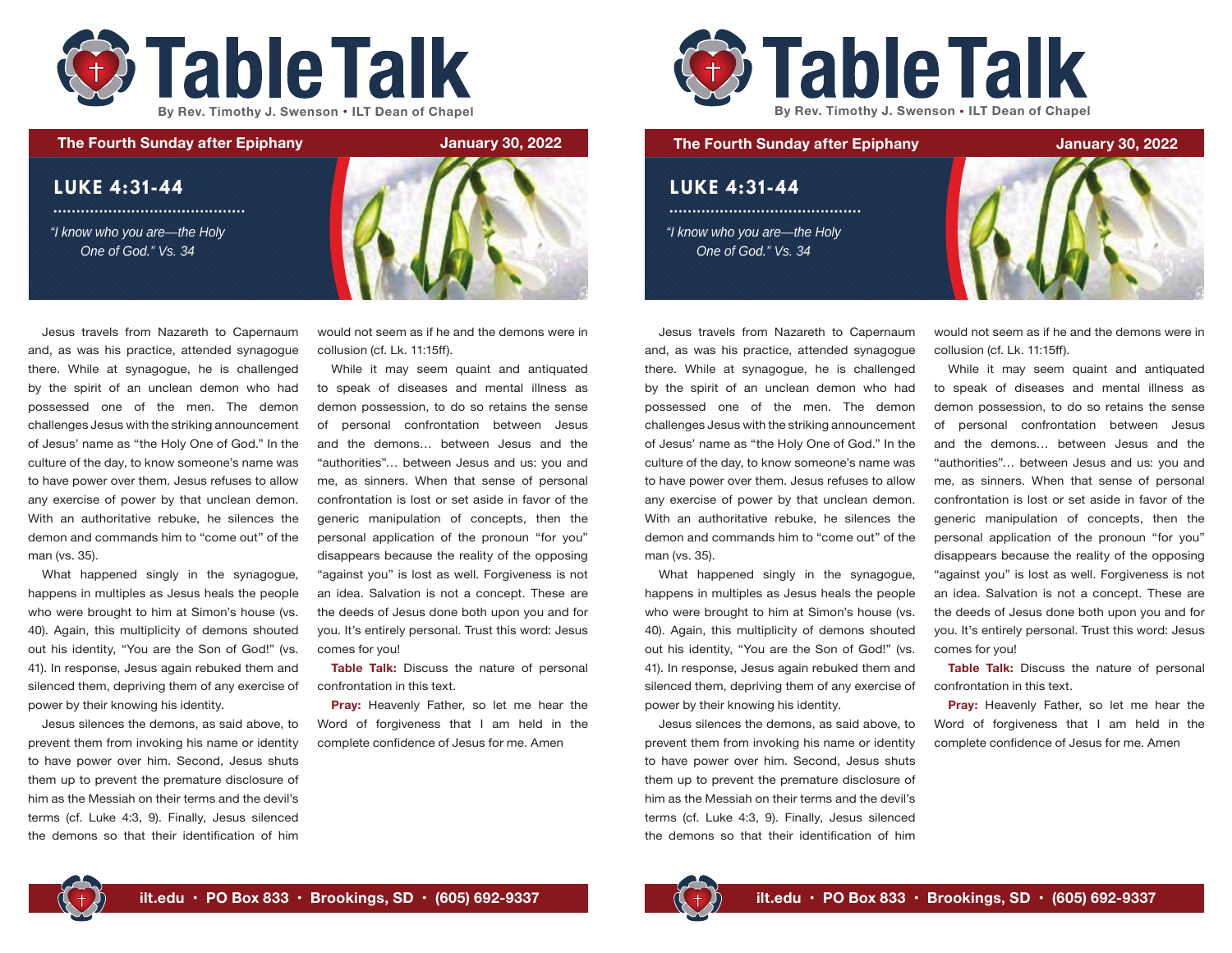



Jesus travels from Nazareth to Capernaum and, as was his practice, attended synagogue there. While at synagogue, he is challenged by the spirit of an unclean demon who had possessed one of the men. The demon challenges Jesus with the striking announcement of Jesus' name as "the Holy One of God." In the culture of the day, to know someone's name was to have power over them. Jesus refuses to allow any exercise of power by that unclean demon. With an authoritative rebuke, he silences the demon and commands him to "come out" of the man (vs. 35).

What happened singly in the synagogue, happens in multiples as Jesus heals the people who were brought to him at Simon's house (vs. 40). Again, this multiplicity of demons shouted out his identity, "You are the Son of God!" (vs. 41). In response, Jesus again rebuked them and silenced them, depriving them of any exercise of power by their knowing his identity.

Jesus silences the demons, as said above, to prevent them from invoking his name or identity to have power over him. Second, Jesus shuts them up to prevent the premature disclosure of him as the Messiah on their terms and the devil's terms (cf. Luke 4:3, 9). Finally, Jesus silenced the demons so that their identification of him would not seem as if he and the demons were in collusion (cf. Lk. 11:15ff).

While it may seem quaint and antiquated to speak of diseases and mental illness as demon possession, to do so retains the sense of personal confrontation between Jesus and the demons… between Jesus and the "authorities"… between Jesus and us: you and me, as sinners. When that sense of personal confrontation is lost or set aside in favor of the generic manipulation of concepts, then the personal application of the pronoun "for you" disappears because the reality of the opposing "against you" is lost as well. Forgiveness is not an idea. Salvation is not a concept. These are the deeds of Jesus done both upon you and for you. It's entirely personal. Trust this word: Jesus comes for you!

**Table Talk:** Discuss the nature of personal confrontation in this text.

**Pray:** Heavenly Father, so let me hear the Word of forgiveness that I am held in the complete confidence of Jesus for me. Amen



## **LUKE 4:31-44**

"I know who you are-the Holy One of God." Vs. 34



Jesus travels from Nazareth to Capernaum and, as was his practice, attended synagogue there. While at synagogue, he is challenged by the spirit of an unclean demon who had possessed one of the men. The demon challenges Jesus with the striking announcement of Jesus' name as "the Holy One of God." In the culture of the day, to know someone's name was to have power over them. Jesus refuses to allow any exercise of power by that unclean demon. With an authoritative rebuke, he silences the demon and commands him to "come out" of the man (vs. 35).

What happened singly in the synagogue, happens in multiples as Jesus heals the people who were brought to him at Simon's house (vs. 40). Again, this multiplicity of demons shouted out his identity, "You are the Son of God!" (vs. 41). In response, Jesus again rebuked them and silenced them, depriving them of any exercise of power by their knowing his identity.

Jesus silences the demons, as said above, to prevent them from invoking his name or identity to have power over him. Second, Jesus shuts them up to prevent the premature disclosure of him as the Messiah on their terms and the devil's terms (cf. Luke 4:3, 9). Finally, Jesus silenced the demons so that their identification of him

would not seem as if he and the demons were in collusion (cf. Lk. 11:15ff).

While it may seem quaint and antiquated to speak of diseases and mental illness as demon possession, to do so retains the sense of personal confrontation between Jesus and the demons… between Jesus and the "authorities"… between Jesus and us: you and me, as sinners. When that sense of personal confrontation is lost or set aside in favor of the generic manipulation of concepts, then the personal application of the pronoun "for you" disappears because the reality of the opposing "against you" is lost as well. Forgiveness is not an idea. Salvation is not a concept. These are the deeds of Jesus done both upon you and for you. It's entirely personal. Trust this word: Jesus comes for you!

**Table Talk:** Discuss the nature of personal confrontation in this text.

**Pray:** Heavenly Father, so let me hear the Word of forgiveness that I am held in the complete confidence of Jesus for me. Amen